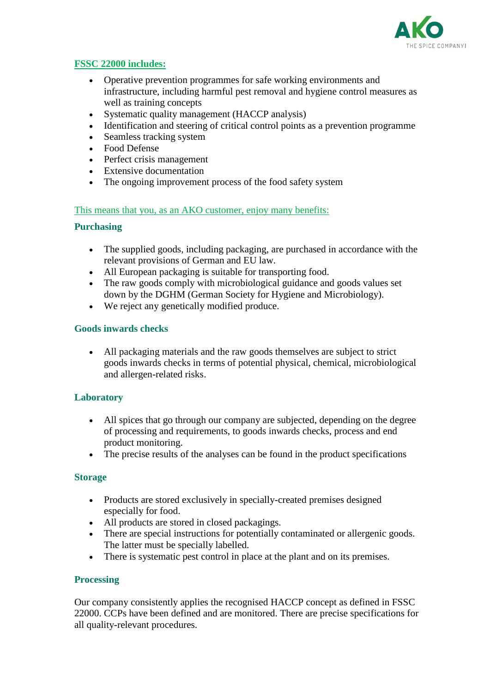

# **[FSSC 22000 includes:](http://www.ako-spice.com/eng/index.php?ako=iso-zertifizierung&ch_nav_eb1=qualitaet&ch_nav_eb2=iso-zertifizierung)**

- Operative prevention programmes for safe working environments and infrastructure, including harmful pest removal and hygiene control measures as well as training concepts
- Systematic quality management (HACCP analysis)
- Identification and steering of critical control points as a prevention programme
- Seamless tracking system
- Food Defense
- Perfect crisis management
- Extensive documentation
- The ongoing improvement process of the food safety system

# [This means that you, as an AKO customer, enjoy many benefits:](http://www.ako-spice.com/eng/index.php?ako=iso-zertifizierung&ch_nav_eb1=qualitaet&ch_nav_eb2=iso-zertifizierung)

# **Purchasing**

- The supplied goods, including packaging, are purchased in accordance with the relevant provisions of German and EU law.
- All European packaging is suitable for transporting food.
- The raw goods comply with microbiological guidance and goods values set down by the DGHM (German Society for Hygiene and Microbiology).
- We reject any genetically modified produce.

# **Goods inwards checks**

 All packaging materials and the raw goods themselves are subject to strict goods inwards checks in terms of potential physical, chemical, microbiological and allergen-related risks.

# **Laboratory**

- All spices that go through our company are subjected, depending on the degree of processing and requirements, to goods inwards checks, process and end product monitoring.
- The precise results of the analyses can be found in the product specifications

#### **Storage**

- Products are stored exclusively in specially-created premises designed especially for food.
- All products are stored in closed packagings.
- There are special instructions for potentially contaminated or allergenic goods. The latter must be specially labelled.
- There is systematic pest control in place at the plant and on its premises.

#### **Processing**

Our company consistently applies the recognised HACCP concept as defined in FSSC 22000. CCPs have been defined and are monitored. There are precise specifications for all quality-relevant procedures.